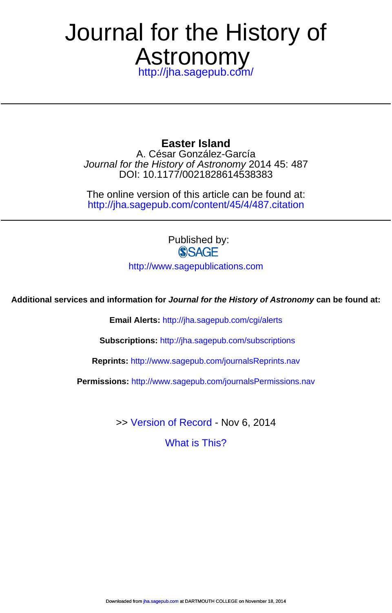## Astronomy Journal for the History of

<http://jha.sagepub.com/>

DOI: 10.1177/0021828614538383 Journal for the History of Astronomy 2014 45: 487 A. César González-García **Easter Island**

<http://jha.sagepub.com/content/45/4/487.citation> The online version of this article can be found at:

> Published by:<br>
> SAGF <http://www.sagepublications.com>

**Additional services and information for Journal for the History of Astronomy can be found at:**

**Email Alerts:** <http://jha.sagepub.com/cgi/alerts>

**Subscriptions:** <http://jha.sagepub.com/subscriptions>

**Reprints:** <http://www.sagepub.com/journalsReprints.nav>

**Permissions:** <http://www.sagepub.com/journalsPermissions.nav>

>> [Version of Record -](http://jha.sagepub.com/content/45/4/487.full.pdf) Nov 6, 2014

[What is This?](http://online.sagepub.com/site/sphelp/vorhelp.xhtml)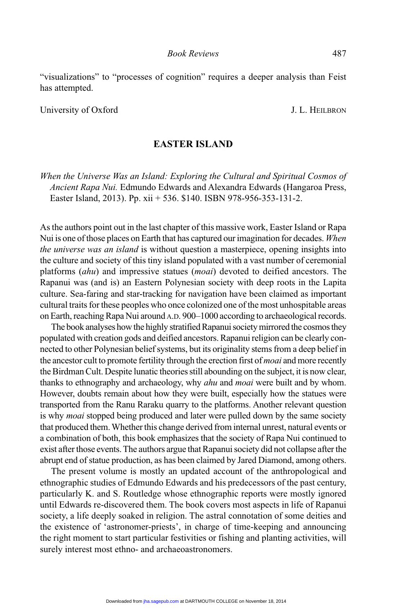"visualizations" to "processes of cognition" requires a deeper analysis than Feist has attempted.

University of Oxford J. L. HEILBRON

## **EASTER ISLAND**

*When the Universe Was an Island: Exploring the Cultural and Spiritual Cosmos of Ancient Rapa Nui.* Edmundo Edwards and Alexandra Edwards (Hangaroa Press, Easter Island, 2013). Pp. xii + 536. \$140. ISBN 978-956-353-131-2.

As the authors point out in the last chapter of this massive work, Easter Island or Rapa Nui is one of those places on Earth that has captured our imagination for decades. *When the universe was an island* is without question a masterpiece, opening insights into the culture and society of this tiny island populated with a vast number of ceremonial platforms (*ahu*) and impressive statues (*moai*) devoted to deified ancestors. The Rapanui was (and is) an Eastern Polynesian society with deep roots in the Lapita culture. Sea-faring and star-tracking for navigation have been claimed as important cultural traits for these peoples who once colonized one of the most unhospitable areas on Earth, reaching Rapa Nui around A.D. 900–1000 according to archaeological records.

The book analyses how the highly stratified Rapanui society mirrored the cosmos they populated with creation gods and deified ancestors. Rapanui religion can be clearly connected to other Polynesian belief systems, but its originality stems from a deep belief in the ancestor cult to promote fertility through the erection first of *moai* and more recently the Birdman Cult. Despite lunatic theories still abounding on the subject, it is now clear, thanks to ethnography and archaeology, why *ahu* and *moai* were built and by whom. However, doubts remain about how they were built, especially how the statues were transported from the Ranu Raraku quarry to the platforms. Another relevant question is why *moai* stopped being produced and later were pulled down by the same society that produced them. Whether this change derived from internal unrest, natural events or a combination of both, this book emphasizes that the society of Rapa Nui continued to exist after those events. The authors argue that Rapanui society did not collapse after the abrupt end of statue production, as has been claimed by Jared Diamond, among others.

The present volume is mostly an updated account of the anthropological and ethnographic studies of Edmundo Edwards and his predecessors of the past century, particularly K. and S. Routledge whose ethnographic reports were mostly ignored until Edwards re-discovered them. The book covers most aspects in life of Rapanui society, a life deeply soaked in religion. The astral connotation of some deities and the existence of 'astronomer-priests', in charge of time-keeping and announcing the right moment to start particular festivities or fishing and planting activities, will surely interest most ethno- and archaeoastronomers.